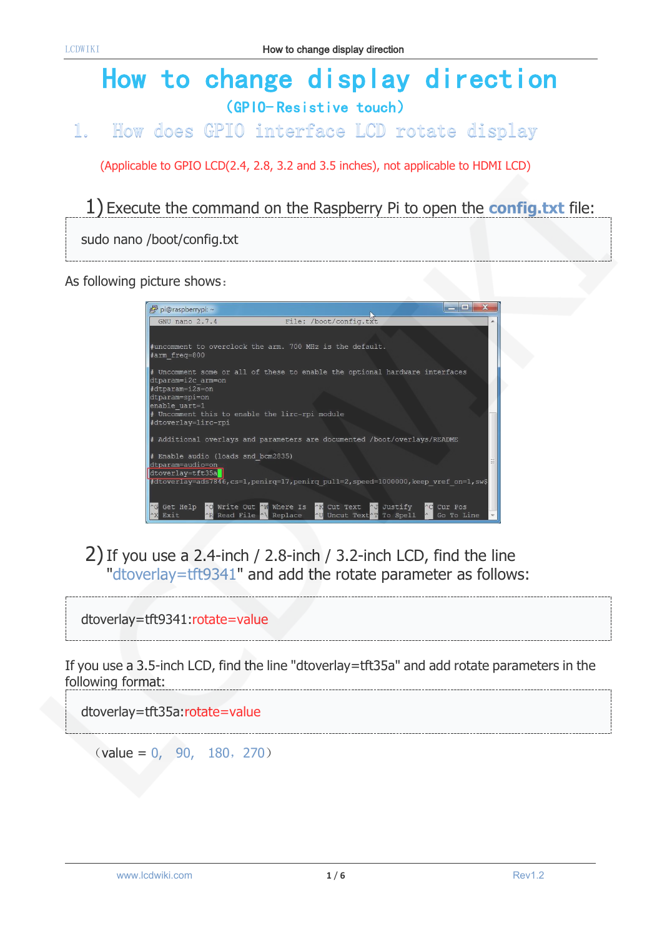# How to change display direction (GPIO- Resistive touch)

#### How does GPIO interface LCD rotate display  $\mathbb{1}$ .

(Applicable to GPIO LCD(2.4, 2.8, 3.2 and 3.5 inches), not applicable to HDMI LCD)

1) Execute the command on the Raspberry Pi to open the **config.txt** file:

sudo nano /boot/config.txt

As following picture shows:

| $\equiv$<br>pi@raspberrypi: ~                                                                                                                                                                            |
|----------------------------------------------------------------------------------------------------------------------------------------------------------------------------------------------------------|
| File: /boot/config.txt<br>GNU nano 2.7.4<br>▲                                                                                                                                                            |
|                                                                                                                                                                                                          |
| #uncomment to overclock the arm. 700 MHz is the default.<br>#arm freq=800                                                                                                                                |
| # Uncomment some or all of these to enable the optional hardware interfaces<br>dtparam=i2c arm=on<br>#dtparam=i2s=on<br>dtparam=spi=on<br>enable uart=1                                                  |
| # Uncomment this to enable the lirc-rpi module<br>#dtoverlay=lirc-rpi                                                                                                                                    |
| # Additional overlays and parameters are documented /boot/overlays/README                                                                                                                                |
| # Enable audio (loads snd bcm2835)<br>dtparam=audio=on<br>dtoverlay=tft35a                                                                                                                               |
| #dtoverlay=ads7846,cs=1,penirq=17,penirq pull=2,speed=1000000,keep vref on=1,sw\$                                                                                                                        |
| <b>AO</b> Write Out AW Where Is AK Cut Text<br>Get Help<br><b>AJ</b> Justify<br>$\wedge$ C<br>Cur Pos<br>AR Read File AN Replace<br>AU Uncut Text <sup>or</sup> To Spell<br>$\sim$<br>Exit<br>Go To Line |

2)If you use a 2.4-inch / 2.8-inch / 3.2-inch LCD, find the line "dtoverlay=tft9341" and add the rotate parameter as follows:

dtoverlay=tft9341:rotate=value

If you use a 3.5-inch LCD, find the line "dtoverlay=tft35a" and add rotate parameters in the following format: 

dtoverlay=tft35a:rotate=value

 $\text{(value = 0, 90, 180, 270)}$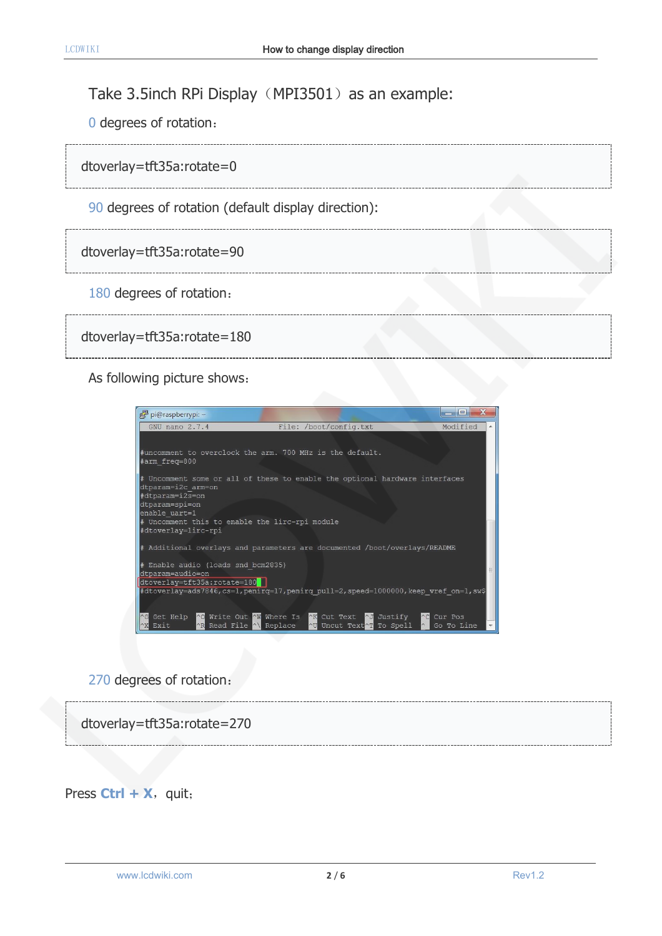### Take 3.5inch RPi Display (MPI3501) as an example:

0 degrees of rotation:

dtoverlay=tft35a:rotate=0

90 degrees of rotation (default display direction):

### dtoverlay=tft35a:rotate=90

180 degrees of rotation:

```
dtoverlay=tft35a:rotate=180
```
As following picture shows:



### 270 degrees of rotation:



Press  $Ctrl + X$ , quit;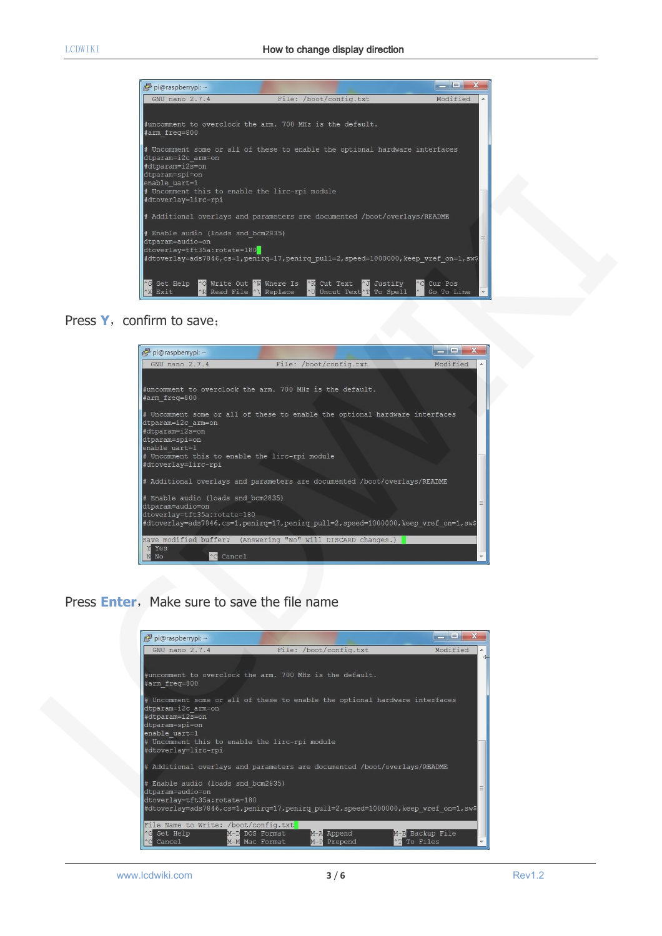

#### Press Y, confirm to save;



### Press **Enter**, Make sure to save the file name

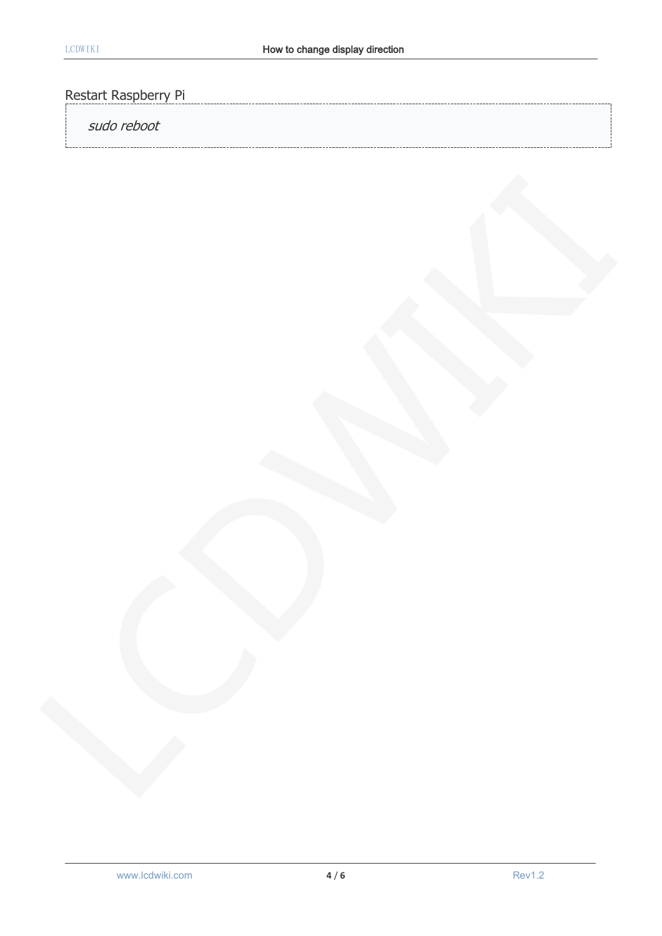## Restart Raspberry Pi

## sudo reboot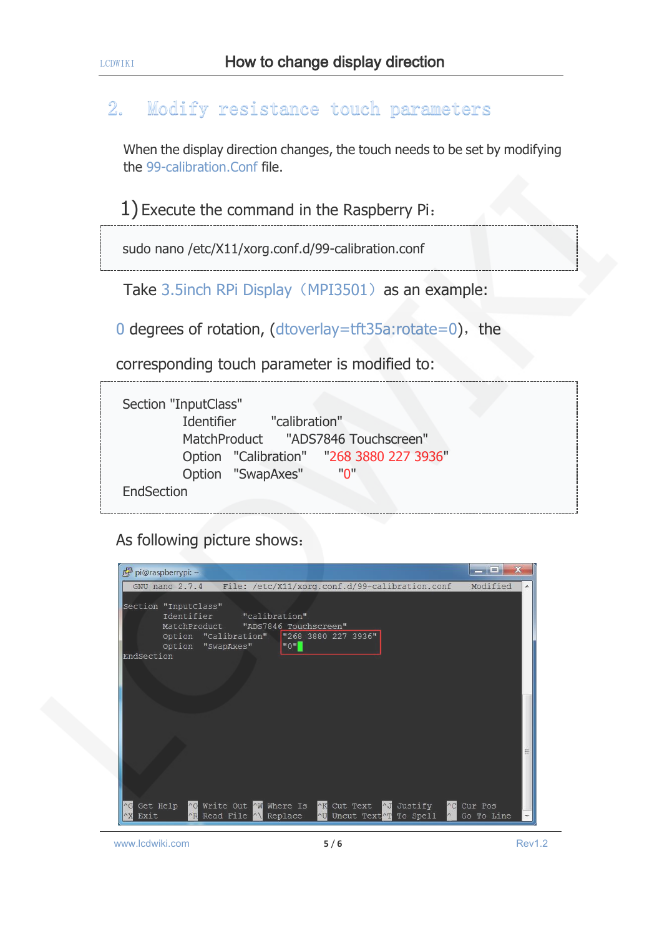#### Modify resistance touch parameters  $2<sub>o</sub>$

When the display direction changes, the touch needs to be set by modifying the 99-calibration.Conf file.

1) Execute the command in the Raspberry Pi:

sudo nano /etc/X11/xorg.conf.d/99-calibration.conf

Take 3.5inch RPi Display (MPI3501) as an example:

0 degrees of rotation,  $(dtoverlay = tf135a:rotate=0)$ , the

corresponding touch parameter is modified to:

|            | Section "InputClass"                     |
|------------|------------------------------------------|
|            | Identifier "calibration"                 |
|            | MatchProduct "ADS7846 Touchscreen"       |
|            | Option "Calibration" "268 3880 227 3936" |
|            | Option "SwapAxes"<br>"ח"                 |
| EndSection |                                          |

As following picture shows:

| pi@raspberrypi: ~                                                                                                                                                                                                                  | $\mathbf x$<br>$   -$ |   |
|------------------------------------------------------------------------------------------------------------------------------------------------------------------------------------------------------------------------------------|-----------------------|---|
| GNU nano 2.7.4<br>File: /etc/X11/xorg.conf.d/99-calibration.conf                                                                                                                                                                   | Modified              | ▲ |
| Section "InputClass"<br>Identifier<br>"calibration"<br>MatchProduct<br>"ADS7846 Touchscreen"<br>"268 3880 227 3936"<br>Option "Calibration"<br>$^{\mathfrak{m}}$ 0 $^{\mathfrak{m}}$<br>Option "SwapAxes"                          |                       |   |
| EndSection                                                                                                                                                                                                                         |                       |   |
|                                                                                                                                                                                                                                    |                       |   |
|                                                                                                                                                                                                                                    |                       |   |
| Write Out AW Where Is<br><b>NK</b> Cut Text<br>Get Help<br>$^{\circ}$ O<br><b>AJ</b> Justify<br>$\wedge$ C<br>$\wedge$ G<br><b>AR</b> Read File AN Replace<br>Uncut Text <sup>1</sup> To Spell<br>Exit<br>$\sim$ U<br>$^{\wedge}X$ | Cur Pos<br>Go To Line |   |

www.lcdwiki.com **5** / **6** Rev1.2